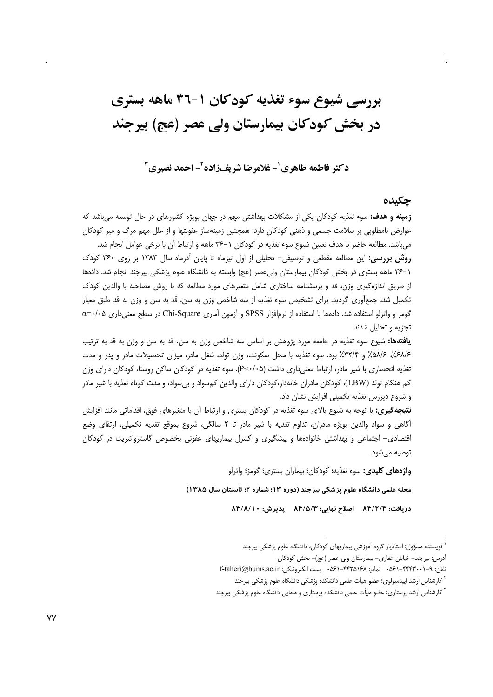# بررسی شیوع سوء تغذیه کودکان ۱-۳٦ ماهه بستری در بخش کودکان بیمارستان ولی عصر (عج) بیرجند

**د کتر فاطمه طاهری <sup>۱</sup>- غلامرضا شریفزاده آ- احمد نصیری <sup>۳</sup>** 

#### **چکنده**

**زمینه و هدف:** سوء تغذیه کودکان یکی از مشکلات بهداشتی مهم در جهان بویژه کشورهای در حال توسعه میباشد که عوارض نامطلوبی بر سلامت جسمی و ذهنی کودکان دارد؛ همچنین زمینهساز عفونتها و از علل مهم مرگ و میر کودکان میباشد. مطالعه حاضر با هدف تعیین شیوع سوء تغذیه در کودکان ١–۳۶ ماهه و ارتباط آن با برخی عوامل انجام شد.

**روش بررسی:** این مطالعه مقطعی و توصیفی- تحلیلی از اول تیرماه تا پایان آذرماه سال ۱۳۸۳ بر روی ۳۶۰ کودک ١–٣۶ ماهه بسترى در بخش كودكان بيمارستان ولىعصر (عج) وابسته به دانشگاه علوم پزشكى بيرجند انجام شد. دادهها از طریق اندازهگیری وزن، قد و پرسشنامه ساختاری شامل متغیرهای مورد مطالعه که با روش مصاحبه با والدین کودک تکمیل شد، جمعأوری گردید. برای تشخیص سوء تغذیه از سه شاخص وزن به سن، قد به سن و وزن به قد طبق معیار گومز و واترلو استفاده شد. دادهها با استفاده از نرم|فزار SPSS و آزمون آماری Chi-Square در سطح معنیداری α=۰/۰۵ تجزیه و تحلیل شدند.

**یافتهها:** شیوع سوء تغذیه در جامعه مورد پژوهش بر اساس سه شاخص وزن به سن، قد به سن و وزن به قد به ترتیب ۶۸/۶٪، ۵۸/۶٪ و ۳۲٪ بود. سوء تغذیه با محل سکونت، وزن تولد، شغل مادر، میزان تحصیلات مادر و پدر و مدت تغذیه انحصاری با شیر مادر، ارتباط معنیداری داشت (P<۰/۰۵). سوء تغذیه در کودکان ساکن روستا، کودکان دارای وزن كم هنگام تولد (LBW)، كودكان مادران خانهدار،كودكان داراي والدين كمسواد و بيسواد، و مدت كوتاه تغذيه با شير مادر و شروع دیررس تغذیه تکمیلی افزایش نشان داد.

**نتیجه گیری:** با توجه به شیوع بالای سوء تغذیه در کودکان بستری و ارتباط آن با متغیرهای فوق، اقداماتی مانند افزایش أكاهي و سواد والدين بويژه مادران، تداوم تغذيه با شير مادر تا ٢ سالگي، شروع بموقع تغذيه تكميلي، ارتقاي وضع اقتصادی- اجتماعی و بهداشتی خانوادهها و پیشگیری و کنترل بیماریهای عفونی بخصوص گاستروآنتریت در کودکان توصيه مي شو<mark>د.</mark>

**واژههای کلیدی:** سوء تغذیه؛ کودکان؛ بیماران بستری؛ گومز؛ واترلو

مجله علمی دانشگاه علوم پزشکی بیرجند (دوره ۱۳؛ شماره ۲؛ تابستان سال ۱۳۸۵)

دريافت: ٨۴/٨/1٠ اصلاح نهايي: ٨۴/۵/٣ يذيرش: ٨۴/٨/1٠

<sup>&</sup>lt;sup>י</sup> نویسنده مسؤول؛ استادیار گروه اَموزشی بیماریهای کودکان، دانشگاه علوم پزشکی بیرجند

آدرس: بیرجند– خیابان غفاری– بیمارستان ولی عصر (عج)– بخش کودکان

تلفن: ۹–۴۴۴۳۰۰۱-۵۶۱ - نمابر: ۴۴۳۵۱۶۸–۶۵۶۱ - ست الکترونیکی: f-taheri@bums.ac.ir<br><sup>۲</sup> کارشناس ارشد اپیدمیولوی؛ عضو هیأت علمی دانشکده پزشکی دانشگاه علوم پزشکی بیرجند

<sup>&</sup>lt;sub>ی</sub> دانشکده پزشکی دانشگاه علوم پزشک <sup>۲</sup> کارشناس ارشد اپیدمیولوی؛ عضو هیأت علمی دانشکده پزشکی دانشگاه علوم پزشکی بیرجند<br>۳ کارشناس ارشد پرستاری؛ عضو هیأت علمی دانشکده پرستاری و مامایی دانشگاه علوم پزشکی بیرجند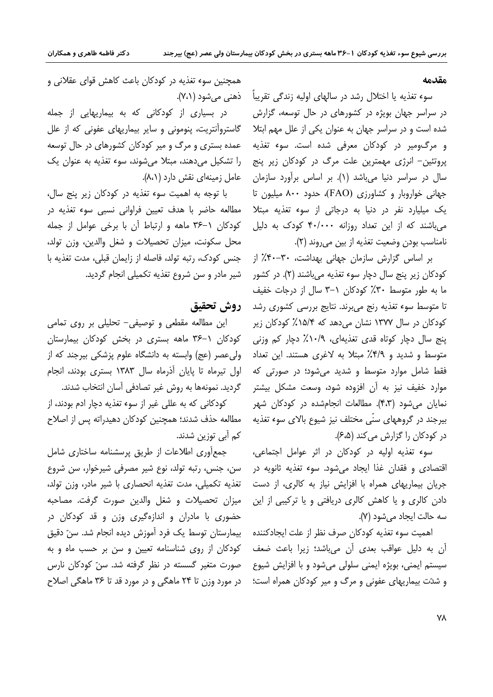#### مقدمه

سوء تغذيه يا اختلال رشد در سالهاي اوليه زندگي تقريباً هنمني مي شود (٧،١). در سراسر جهان بویژه در کشورهای در حال توسعه، گزارش شده است و در سراسر جهان به عنوان یکی از علل مهم ابتلا و مرگومیر در کودکان معرفی شده است. سوء تغذیه پروتئین– انرژی مهمترین علت مرگ در کودکان زیر پنج سال در سراسر دنیا می باشد (۱). بر اساس برآورد سازمان جهانی خواروبار و کشاورزی (FAO)، حدود ۸۰۰ میلیون تا یک میلیارد نفر در دنیا به درجاتی از سوء تغذیه مبتلا می باشند که از این تعداد روزانه ۴۰/۰۰۰ کودک به دلیل نامناسب بودن وضعيت تغذيه از بين مي روند (٢).

> بر اساس گزارش سازمان جهانی بهداشت، ۳۰–۴۰٪ از کودکان زیر پنج سال دچار سوء تغذیه میباشند (۲). در کشور ما به طور متوسط ٣٠٪ كودكان ١-٣ سال از درجات خفيف تا متوسط سوء تغذیه رنج میبرند. نتایج بررسی کشوری رشد کودکان در سال ۱۳۷۷ نشان می(دهد که ۸۵/۴٪ کودکان زیر ینج سال دچار کوتاه قدی تغذیهای، ۱۰/۹٪ دچار کم وزنی متوسط و شدید و ۴/۹٪ مبتلا به لاغری هستند. این تعداد فقط شامل موارد متوسط و شدید می شود؛ در صورتی که موارد خفیف نیز به آن افزوده شود، وسع*ت* مشکل بیشتر نمایان می شود (۴،۳). مطالعات انجامشده در کودکان شهر بیرجند در گروههای سنّی مختلف نیز شیوع بالای سوء تغذیه در کودکان را گزارش می کند (۶،۵).

> سوء تغذیه اولیه در کودکان در اثر عوامل اجتماعی، اقتصادي و فقدان غذا ايجاد مي شود. سوء تغذيه ثانويه در جریان بیماریهای همراه با افزایش نیاز به کالری، از دست دادن کالری و یا کاهش کالری دریافتی و یا ترکیبی از این سه حالت ایجاد می شود (۷).

اهميت سوء تغذيه كودكان صرف نظر از علت ايجادكننده آن به دلیل عواقب بعدی آن میباشد؛ زیرا باعث ضعف سیستم ایمنی، بویژه ایمنی سلولی می شود و با افزایش شیوع و شدّت بیماریهای عفونی و مرگ و میر کودکان همراه است؛

همچنین سوء تغذیه در کودکان باعث کاهش قوای عقلانی و

در بسیاری از کودکانی که به بیماریهایی از جمله گاستروآنتریت، پنومونی و سایر بیماریهای عفونی که از علل عمده بستری و مرگ و میر کودکان کشورهای در حال توسعه را تشکیل می دهند، مبتلا می شوند، سوء تغذیه به عنوان یک عامل زمینهای نقش دارد (۸،۱).

با توجه به اهمیت سوء تغذیه در کودکان زیر پنج سال، مطالعه حاضر با هدف تعیین فراوانی نسبی سوء تغذیه در کودکان ١-٣۶ ماهه و ارتباط آن با برخی عوامل از جمله محل سکونت، میزان تحصیلات و شغل والدین، وزن تولد، جنس كودك، رتبه تولد، فاصله از زایمان قبلی، مدت تغذیه با شیر مادر و سن شروع تغذیه تکمیلی انجام گردید.

### روش تحقيق

این مطالعه مقطعی و توصیفی- تحلیلی بر روی تمامی کودکان ۱–۳۶ ماهه بستری در بخش کودکان بیمارستان ولی عصر (عج) وابسته به دانشگاه علوم پزشکی بیرجند که از اول تیرماه تا پایان آذرماه سال ۱۳۸۳ بستری بودند، انجام گردید. نمونهها به روش غیر تصادفی آسان انتخاب شدند.

کودکانی که به عللی غیر از سوء تغذیه دچار ادم بودند، از مطالعه حذف شدند؛ همچنین کودکان دهیدراته پس از اصلاح کم آبی توزین شدند.

جمع آوری اطلاعات از طریق پرسشنامه ساختاری شامل سن، جنس، رتبه تولد، نوع شیر مصرفی شیرخوار، سن شروع تغذيه تكميلي، مدت تغذيه انحصاري با شير مادر، وزن تولد، ميزان تحصيلات و شغل والدين صورت گرفت. مصاحبه حضوری با مادران و اندازهگیری وزن و قد کودکان در بيمارستان توسط يک فرد آموزش ديده انجام شد. سنّ دقيق کودکان از روی شناسنامه تعیین و سن بر حسب ماه و به صورت متغیر گسسته در نظر گرفته شد. سنّ کودکان نارس در مورد وزن تا ۲۴ ماهگی و در مورد قد تا ۳۶ ماهگی اصلاح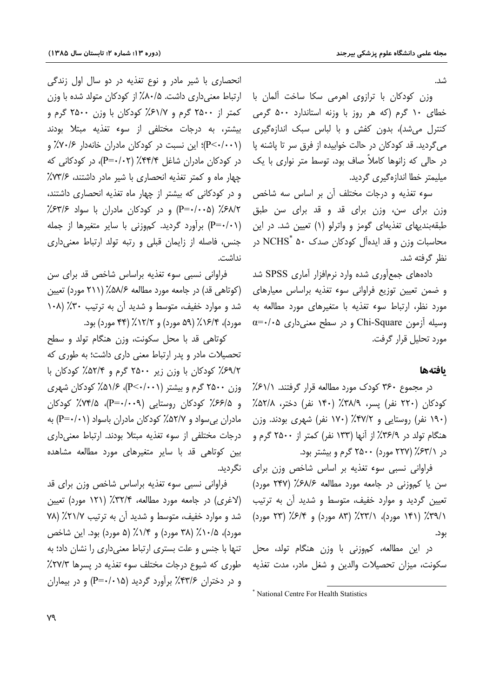شد.

وزن کودکان با ترازوی اهرمی سکا ساخت آلمان با خطای ۱۰ گرم (که هر روز با وزنه استاندارد ۵۰۰ گرمی کنترل میشد)، بدون کفش و با لباس سبک اندازهگیری می گردید. قد کودکان در حالت خوابیده از فرق سر تا پاشنه یا در حالی که زانوها کاملاً صاف بود، توسط متر نواری با یک میلیمتر خطا اندازهگیری گردید.

سوء تغذیه و درجات مختلف آن بر اساس سه شاخص وزن برای سن، وزن برای قد و قد برای سن طبق طبقهبندیهای تغذیهای گومز و واترلو (۱) تعیین شد. در این محاسبات وزن و قد ایدهآل کودکان صدک ۵۰ NCHS<sup>\*</sup> در نظر گرفته شد.

دادههای جمع آوری شده وارد نرمافزار آماری SPSS شد و ضمن تعیین توزیع فراوانی سوء تغذیه براساس معیارهای مورد نظر، ارتباط سوء تغذیه با متغیرهای مورد مطالعه به  $\alpha = \cdot / \cdot \alpha$  وسیله آزمون Chi-Square و در سطح معنی داری مورد تحليل قرار گرفت.

#### بافتهها

در مجموع ۳۶۰ کودک مورد مطالعه قرار گرفتند. ۶۱/۱٪ کودکان (۲۲۰ نفر) پسر، ۳۸/۹٪ (۱۴۰ نفر) دختر، ۵۲/۸٪ (۱۹۰ نفر) روستایی و ۴۷/۲٪ (۱۷۰ نفر) شهری بودند. وزن هنگام تولد در ۳۶/۹٪ از آنها (۱۳۳ نفر) کمتر از ۲۵۰۰ گرم و در ۶۳/۱٪ (۲۲۷ مورد) ۲۵۰۰ گرم و بیشتر بود.

فراوانی نسبی سوء تغذیه بر اساس شاخص وزن برای  $(5.4)$ سن یا کموزنی در جامعه مورد مطالعه ۶۸/۶٪ (۲۴۷ مورد) تعیین گردید و موارد خفیف، متوسط و شدید آن به ترتیب ٣٩/١)٪ (١۴١ مورد)، ٣١/١٪ (٨٣ مورد) و ۶/۴٪ (٢٣ مورد) بود.

در این مطالعه، کموزنی با وزن هنگام تولد، محل سکونت، میزان تحصیلات والدین و شغل مادر، مدت تغذیه

\* National Centre For Health Statistics

انحصاري با شير مادر و نوع تغذيه در دو سال اول زندگي ارتباط معنی داری داشت. ۸۰/۵٪ از کودکان متولد شده با وزن کمتر از ۲۵۰۰ گرم و ۶۱/۷٪ کودکان با وزن ۲۵۰۰ گرم و بیشتر، به درجات مختلفی از سوء تغذیه مبتلا بودند (P<۰/۰۰۱)؛ این نسبت در کودکان مادران خانهدار ۷۰/۶٪ و در کودکان مادران شاغل ۴۴/۴٪ (P=۰/۰۲)، در کودکانی که چهار ماه و کمتر تغذیه انحصاری با شیر مادر داشتند، ۷۳/۶٪ و در کودکانی که بیشتر از چهار ماه تغذیه انحصاری داشتند، ۶۸/۲٪ (۵-۰/۰۰۵) و در کودکان مادران با سواد ۶۳/۶٪ (P=٠/٠١) برآورد گردید. کموزنی با سایر متغیرها از جمله جنس، فاصله از زایمان قبلی و رتبه تولد ارتباط معنی داری نداشت.

فراوانی نسبی سوء تغذیه براساس شاخص قد برای سن (کوتاهی قد) در جامعه مورد مطالعه ۵۸/۶٪ (۲۱۱ مورد) تعیین شد و موارد خفیف، متوسط و شدید آن به ترتیب ۳۰٪ (۱۰۸ مورد)، ۶/۴/٪ (۵۹ مورد) و ۶/۲/٪ (۴۴ مورد) بود.

كوتاهي قد با محل سكونت، وزن هنگام تولد و سطح تحصیلات مادر و پدر ارتباط معنی داری داشت؛ به طوری که ۶۹/۲٪ کودکان با وزن زیر ۲۵۰۰ گرم و ۵۲/۴٪ کودکان با وزن ۲۵۰۰ گرم و بیشتر (P<۰/۰۰۱)، ۵۱/۶/ کودکان شهری و ۶۶/۵٪ کودکان روستایی (P=۰/۰۰۹)، ۷۴/۵٪ کودکان مادران بی سواد و ۵۲/۷٪ کودکان مادران باسواد (۱۰/۰۱) به درجات مختلفی از سوء تغذیه مبتلا بودند. ارتباط معنی داری بین کوتاهی قد با سایر متغیرهای مورد مطالعه مشاهده نگردید.

فراوانی نسبی سوء تغذیه براساس شاخص وزن برای قد (لاغری) در جامعه مورد مطالعه، ۳۲/۴٪ (۱۲۱ مورد) تعیین شد و موارد خفیف، متوسط و شدید آن به ترتیب ۲۱/۷٪ (۷۸ مورد)، ۲۸٪ (۳۸ مورد) و ۱/۴٪ (۵ مورد) بود. این شاخص تنها با جنس و علت بستری ارتباط معنی داری را نشان داد؛ به طوری که شیوع درجات مختلف سوء تغذیه در پسرها ۲۷/۳٪ و در دختران ۴۳/۶٪ برآورد گردید (۱۵-۰/۰۱۵) و در بیماران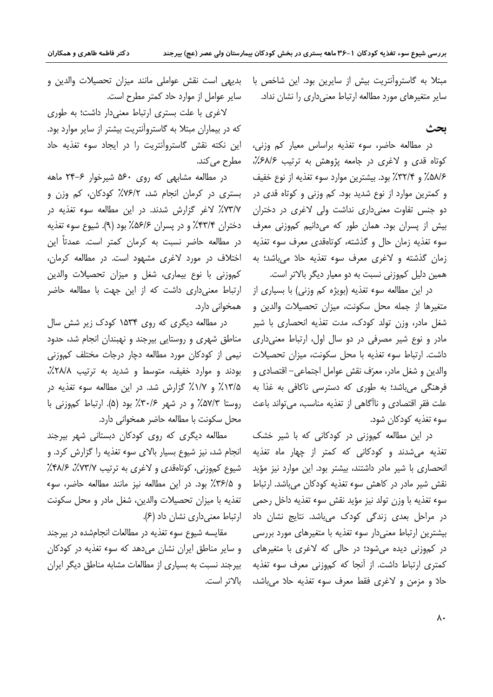مبتلا به گاستروآنتریت بیش از سایرین بود. این شاخص با سایر متغیرهای مورد مطالعه ارتباط معنی داری را نشان نداد.

### ىحث

در مطالعه حاضر، سوء تغذیه براساس معیار کم وزنی، کوتاه قدی و لاغری در جامعه پژوهش به ترتیب ۶۸/۶٪، ۵۸/۶٪ و ۳۲/۴٪ بود. بیشترین موارد سوء تغذیه از نوع خفیف و کمترین موارد از نوع شدید بود. کم وزنی و کوتاه قدی در دو جنس تفاوت معنی داری نداشت ولی لاغری در دختران بیش از پسران بود. همان طور که میدانیم کموزنی معرف سوء تغذیه زمان حال و گذشته، کوتاهقدی معرف سوء تغذیه زمان گذشته و لاغری معرف سوء تغذیه حادّ می باشد؛ به همین دلیل کموزنی نسبت به دو معیار دیگر بالاتر است.

در این مطالعه سوء تغذیه (بویژه کم وزنی) با بسیاری از متغيرها از جمله محل سكونت، ميزان تحصيلات والدين و شغل مادر، وزن تولد کودک، مدت تغذیه انحصاری با شیر مادر و نوع شیر مصرفی در دو سال اول، ارتباط معنی داری داشت. ارتباط سوء تغذیه با محل سکونت، میزان تحصیلات والدين و شغل مادر، معرّف نقش عوامل اجتماعي– اقتصادي و فرهنگی می باشد؛ به طوری که دسترسی ناکافی به غذا به علت فقر اقتصادي و ناآگاهي از تغذيه مناسب، مي تواند باعث سوء تغذيه كودكان شود.

در این مطالعه کموزنی در کودکانی که با شیر خشک تغذیه می شدند و کودکانی که کمتر از چهار ماه تغذیه انحصاری با شیر مادر داشتند، بیشتر بود. این موارد نیز مؤید نقش شیر مادر در کاهش سوء تغذیه کودکان میباشد. ارتباط سوء تغذيه با وزن تولد نيز مؤيد نقش سوء تغذيه داخل رحمي در مراحل بعدی زندگی کودک میباشد. نتایج نشان داد بیشترین ارتباط معنی دار سوء تغذیه با متغیرهای مورد بررسی در کموزنی دیده می شود؛ در حالی که لاغری با متغیرهای کمتری ارتباط داشت. از آنجا که کموزنی معرف سوء تغذیه حادٌ و مزمن و لاغرى فقط معرف سوء تغذيه حادٌ مى باشد،

بديهي است نقش عواملي مانند ميزان تحصيلات والدين و سایر عوامل از موارد حاد کمتر مطرح است.

لاغری با علت بستری ارتباط معنی دار داشت؛ به طوری که در بیماران مبتلا به گاستروآنتریت بیشتر از سایر موارد بود. این نکته نقش گاستروآنتریت را در ایجاد سوء تغذیه حاد مطرح می کند.

 $\sim$ در مطالعه مشابهی که روی ۵۶۰ شیرخوار ۶–۲۴ ماهه بستری در کرمان انجام شد، ٧۶/٢٪ کودکان، کم وزن و ٧٣/٧٪ لاغر گزارش شدند. در این مطالعه سوء تغذیه در دختران ۴۳/۴٪ و در پسران ۵۶/۶٪ بود (۹). شیوع سوء تغذیه در مطالعه حاضر نسبت به كرمان كمتر است. عمدتاً اين اختلاف در مورد لاغری مشهود است. در مطالعه کرمان، كموزني با نوع بيماري، شغل و ميزان تحصيلات والدين ارتباط معنى دارى داشت كه از اين جهت با مطالعه حاضر همخوانی دارد.

در مطالعه دیگری که روی ۱۵۳۴ کودک زیر شش سال مناطق شهری و روستایی بیرجند و نهبندان انجام شد، حدود نیمی از کودکان مورد مطالعه دچار درجات مختلف کموزنی بودند و موارد خفیف، متوسط و شدید به ترتیب ۲۸/۸٪، ۱۳/۵٪ و ۱۷٪ گزارش شد. در این مطالعه سوء تغذیه در روستا ۵۷/۳٪ و در شهر ۳۰/۶٪ بود (۵). ارتباط کموزنی با محل سكونت با مطالعه حاضر همخواني دارد.

مطالعه دیگری که روی کودکان دبستانی شهر بیرجند انجام شد، نیز شیوع بسیار بالای سوء تغذیه را گزارش کرد. و شیوع کموزنی، کوتاهقدی و لاغری به ترتیب ۷۳/۷٪، ۴۸/۶٪ و ٣۶/٥٪ بود. در اين مطالعه نيز مانند مطالعه حاضر، سوء تغذيه با ميزان تحصيلات والدين، شغل مادر و محل سكونت ارتباط معنى دارى نشان داد (۶).

مقايسه شيوع سوء تغذيه در مطالعات انجامشده در بيرجند و سایر مناطق ایران نشان می دهد که سوء تغذیه در کودکان بیرجند نسبت به بسیاری از مطالعات مشابه مناطق دیگر ایران بالاتر است.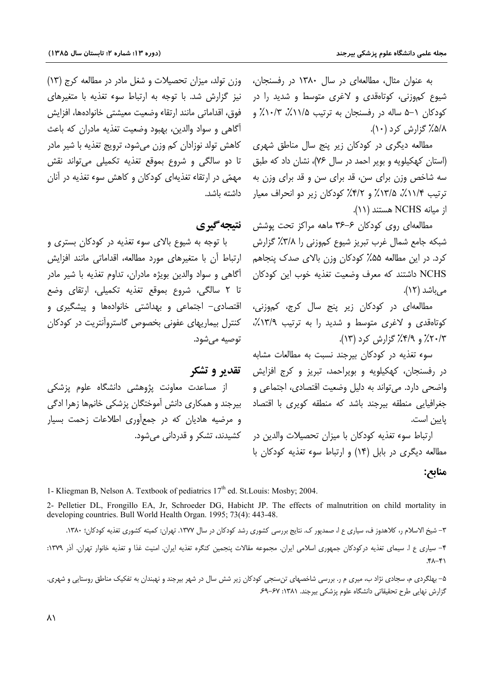به عنوان مثال، مطالعهای در سال ۱۳۸۰ در رفسنجان، شیوع کم<sub>ا</sub>وزنی، کوتاهقدی و لاغری متوسط و شدید را در کودکان ۱–۵ ساله در رفسنجان به ترتیب ۱۱/۵٪، ۰/۳٪ و ۵/۸٪ گزارش کرد (۱۰).

مطالعه دیگری در کودکان زیر پنج سال مناطق شهری (استان کهکیلویه و بویر احمد در سال ۷۶)، نشان داد که طبق سه شاخص وزن برای سن، قد برای سن و قد برای وزن به ترتیب ۱۱/۴٪، ۱۳/۵٪ و ۴/۲٪ کودکان زیر دو انحراف معیار از میانه NCHS هستند (١١).

مطالعهای روی کودکان ۶–۳۶ ماهه مراکز تحت یوشش شبکه جامع شمال غرب تبریز شیوع کموزنی را ۳/۸٪ گزارش کرد. در این مطالعه ۵۵٪ کودکان وزن بالای صدک پنجاهم NCHS داشتند که معرف وضعیت تغذیه خوب این کودکان م ,باشد (١٢).

مطالعهای در کودکان زیر پنج سال کرج، کم<u>وز</u>نی، کوتاهقدی و لاغری متوسط و شدید را به ترتیب ١٣/٩٪، ۲۰/۳٪ و ۴/۹٪ گزارش کرد (۱۳).

سوء تغذیه در کودکان بیرجند نسبت به مطالعات مشابه در رفسنجان، کهکیلویه و بویراحمد، تبریز و کرج افزایش واضحی دارد. می تواند به دلیل وضعیت اقتصادی، اجتماعی و جغرافیایی منطقه بیرجند باشد که منطقه کویری با اقتصاد يايين است.

ارتباط سوء تغذیه کودکان با میزان تحصیلات والدین در مطالعه دیگری در بابل (۱۴) و ارتباط سوء تغذیه کودکان با

وزن تولد، میزان تحصیلات و شغل مادر در مطالعه کرج (١٣) نیز گزارش شد. با توجه به ارتباط سوء تغذیه با متغیرهای فوق، اقداماتی مانند ارتقاء وضعیت معیشتی خانوادهها، افزایش آگاهی و سواد والدین، بهبود وضعیت تغذیه مادران که باعث کاهش تولد نوزادان کم وزن می شود، ترویج تغذیه با شیر مادر تا دو سالگی و شروع بموقع تغذیه تکمیلی میتواند نقش مهمّی در ارتقاء تغذیهای کودکان و کاهش سوء تغذیه در آنان داشته باشد.

### نتيجه گيري

با توجه به شیوع بالای سوء تغذیه در کودکان بستری و ارتباط آن با متغیرهای مورد مطالعه، اقداماتی مانند افزایش آگاهی و سواد والدین بویژه مادران، تداوم تغذیه با شیر مادر تا ٢ سالگي، شروع بموقع تغذيه تكميلي، ارتقاي وضع اقتصادی- اجتماعی و بهداشتی خانوادهها و پیشگیری و كنترل بيماريهاى عفونى بخصوص گاستروآنتريت در كودكان توصيه مي شود.

### تقدير وتشكر

از مساعدت معاونت پژوهشی دانشگاه علوم پزشکی بیرجند و همکاری دانش آموختگان پزشکی خانمها زهرا ادگی و مرضیه هادیان که در جمعآوری اطلاعات زحمت بسیار کشیدند، تشکر و قدردانی میشود.

#### منابع:

1- Kliegman B, Nelson A. Textbook of pediatrics 17<sup>th</sup> ed. St.Louis: Mosby; 2004.

2- Pelletier DL, Frongillo EA, Jr, Schroeder DG, Habicht JP. The effects of malnutrition on child mortality in developing countries. Bull World Health Organ. 1995; 73(4): 443-48.

۳– شیخ الاسلام ر، کلاهدوز ف، سیاری ع ا، صمدپور ک. نتایج بررسی کشوری رشد کودکان در سال ۱۳۷۷. تهران: کمیته کشوری تغذیه کودکان؛ ۱۳۸۰. ۴- سیاری ع ا. سیمای تغذیه درکودکان جمهوری اسلامی ایران. مجموعه مقالات پنجمین کنگره تغذیه ایران. امنیت غذا و تغذیه خانوار تهران. آذر ۱۳۷۹:  $f^{\lambda-\mu}$ 

۵– بهلگردی م، سجادی نژاد ب، میری م ر. بررسی شاخصهای تنسنجی کودکان زیر شش سال در شهر بیرجند و نهبندان به تفکیک مناطق روستایی و شهری. گزارش نهایی طرح تحقیقاتی دانشگاه علوم پزشکی بیرجند. ۱۳۸۱: ۶۷-۶۹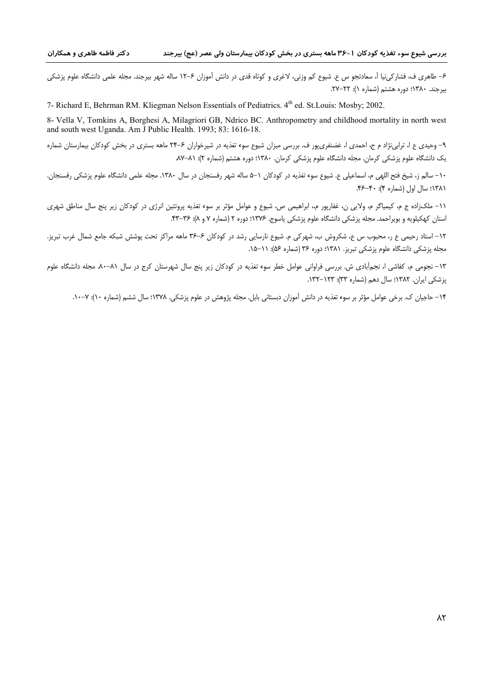۶– طاهری ف، فشارکینیا اَ، سعادتجو س ع. شیوع کم وزنی، لاغری و کوتاه قدی در دانش اَموزان ۶–۱۲ ساله شهر بیرجند. مجله علمی دانشگاه علوم پزشکی  $Y - YY = \{x \in \mathbb{R}^3 : |x - y| \leq 1\}$  . ۷۲–۲۲.

7- Richard E. Behrman RM. Kliegman Nelson Essentials of Pediatrics. 4<sup>th</sup> ed. St. Louis: Mosby: 2002.

8- Vella V, Tomkins A, Borghesi A, Milagriori GB, Ndrico BC. Anthropometry and childhood mortality in north west and south west Uganda. Am J Public Health. 1993; 83: 1616-18.

۹- وحیدی ع ا، ترابینژاد م ح، احمدی ا، غضنفری پور ف. بررسی میزان شیوع سوء تغذیه در شیرخواران ۶-۲۴ ماهه بستری در بخش کودکان بیمارستان شماره یک دانشگاه علوم پزشکی کرمان. مجله دانشگاه علوم پزشکی کرمان. ۱۳۸۰؛ دوره هشتم (شماره ۲): ۸۱–۸۷.

١٠- سالم ز، شيخ فتح اللهي م، اسماعيلي ع. شيوع سوء تغذيه در كودكان ١–۵ ساله شهر رفسنجان در سال ١٣٨٠. مجله علمي دانشگاه علوم پزشكي رفسنجان. ١٣٨١؛ سال اول (شماره ۴): ۴۰-۴۶.

١١- ملکزاده ج م، کیمیاگر م، ولایی ن، غفارپور م،، ابراهیمی ص، شیوع و عوامل مؤثر بر سوء تغذیه پروتئین انرژی در کودکان زیر پنج سال مناطق شهری استان کهکیلویه و بویراحمد. مجله پزشکی دانشگاه علوم پزشکی یاسوج. ۱۳۷۶: دوره ۲ (شماره ۷ و ۸): ۳۶–۴۳.

١٢- استاد رحيمي ع ر، محبوب س ع، شكروش ب، شهركي م. شيوع نارسايي رشد در كودكان ۶–٣۶ ماهه مراكز تحت پوشش شبكه جامع شمال غرب تبريز. مجله پزشکی دانشگاه علوم پزشکی تبریز. ۱۳۸۱؛ دوره ۳۶ (شماره ۵۶): ۱۱–۱۵.

۱۳– نجومی م، کفاشی ا، نجمآبادی ش. بررسی فراوانی عوامل خطر سوء تغذیه در کودکان زیر پنج سال شهرستان کرج در سال ۸۱–۸۰. مجله دانشگاه علوم یزشکی ایران. ۱۳۸۲؛ سال دهم (شماره ۳۳): ۱۳۲–۱۳۲.

۱۴ – حاجیان ک. برخی عوامل مؤثر بر سوء تغذیه در دانش آموزان دبستانی بابل. مجله پژوهش در علوم پزشکی. ۱۳۷۸؛ سال ششم (شماره ۱۰): ۷–۱۰.